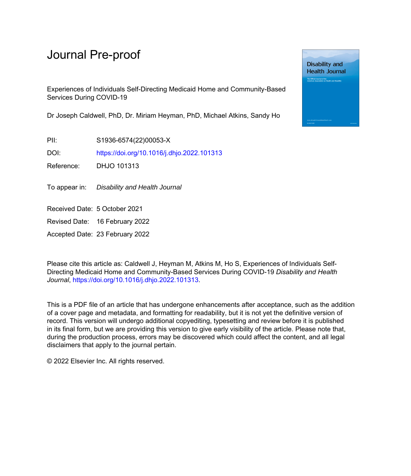Experiences of Individuals Self-Directing Medicaid Home and Community-Based Services During COVID-19

Dr Joseph Caldwell, PhD, Dr. Miriam Heyman, PhD, Michael Atkins, Sandy Ho

PII: S1936-6574(22)00053-X

DOI: <https://doi.org/10.1016/j.dhjo.2022.101313>

Reference: DHJO 101313

To appear in: Disability and Health Journal

Received Date: 5 October 2021

Revised Date: 16 February 2022

Accepted Date: 23 February 2022

Please cite this article as: Caldwell J, Heyman M, Atkins M, Ho S, Experiences of Individuals Self-Directing Medicaid Home and Community-Based Services During COVID-19 *Disability and Health Journal*, [https://doi.org/10.1016/j.dhjo.2022.101313.](https://doi.org/10.1016/j.dhjo.2022.101313)

This is a PDF file of an article that has undergone enhancements after acceptance, such as the addition of a cover page and metadata, and formatting for readability, but it is not yet the definitive version of record. This version will undergo additional copyediting, typesetting and review before it is published in its final form, but we are providing this version to give early visibility of the article. Please note that, during the production process, errors may be discovered which could affect the content, and all legal disclaimers that apply to the journal pertain.

© 2022 Elsevier Inc. All rights reserved.

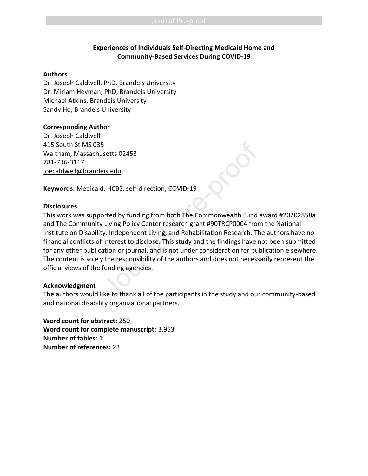## **Experiences of Individuals Self-Directing Medicaid Home and Community-Based Services During COVID-19**

#### **Authors**

Dr. Joseph Caldwell, PhD, Brandeis University Dr. Miriam Heyman, PhD, Brandeis University Michael Atkins, Brandeis University Sandy Ho, Brandeis University

#### **Corresponding Author**

Dr. Joseph Caldwell 415 South St MS 035 Waltham, Massachusetts 02453 781-736-3117 [joecaldwell@brandeis.edu](mailto:joecaldwell@brandeis.edu)

**Keywords:** Medicaid, HCBS, self-direction, COVID-19

#### **Disclosures**

This work was supported by funding from both The Commonwealth Fund award #20202858a and The Community Living Policy Center research grant #90TRCP0004 from the National Institute on Disability, Independent Living, and Rehabilitation Research. The authors have no financial conflicts of interest to disclose. This study and the findings have not been submitted for any other publication or journal, and is not under consideration for publication elsewhere. The content is solely the responsibility of the authors and does not necessarily represent the official views of the funding agencies. S<br>
Sis.edu<br>
J, HCBS, self-direction, COVID-19<br>
Dorted by funding from both The Commonwealth Fund<br>
The Living Policy Center research grant #90TRCP0004 from<br>
Signify, Independent Living, and Rehabilitation Research. The<br>
The

#### **Acknowledgment**

The authors would like to thank all of the participants in the study and our community-based and national disability organizational partners.

**Word count for abstract:** 250 **Word count for complete manuscript:** 3,953 **Number of tables:** 1 **Number of references:** 23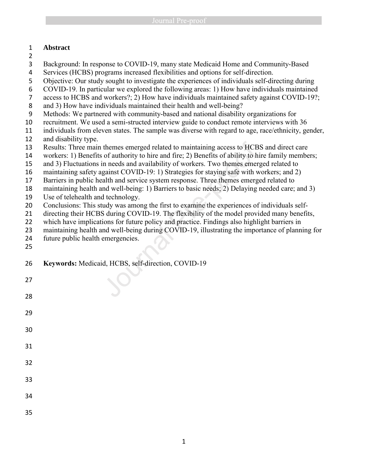# **Abstract**

- 
- Background: In response to COVID-19, many state Medicaid Home and Community-Based
- Services (HCBS) programs increased flexibilities and options for self-direction.
- Objective: Our study sought to investigate the experiences of individuals self-directing during
- COVID-19. In particular we explored the following areas: 1) How have individuals maintained
- access to HCBS and workers?; 2) How have individuals maintained safety against COVID-19?;
- and 3) How have individuals maintained their health and well-being?
- Methods: We partnered with community-based and national disability organizations for
- recruitment. We used a semi-structed interview guide to conduct remote interviews with 36
- individuals from eleven states. The sample was diverse with regard to age, race/ethnicity, gender, and disability type.
- Results: Three main themes emerged related to maintaining access to HCBS and direct care
- workers: 1) Benefits of authority to hire and fire; 2) Benefits of ability to hire family members;
- and 3) Fluctuations in needs and availability of workers. Two themes emerged related to
- maintaining safety against COVID-19: 1) Strategies for staying safe with workers; and 2)
- Barriers in public health and service system response. Three themes emerged related to
- maintaining health and well-being: 1) Barriers to basic needs; 2) Delaying needed care; and 3)
- Use of telehealth and technology.
- Conclusions: This study was among the first to examine the experiences of individuals self-
- 21 directing their HCBS during COVID-19. The flexibility of the model provided many benefits,
- which have implications for future policy and practice. Findings also highlight barriers in
- maintaining health and well-being during COVID-19, illustrating the importance of planning for themes emerged related to maintaining access to HCB<br>of authority to hire and fire; 2) Benefits of ability to h<br>in needs and availability of workers. Two themes emer<br>gainst COVID-19: 1) Strategies for staying safe with v<br>al

- future public health emergencies.
- 
- **Keywords:** Medicaid, HCBS, self-direction, COVID-19
-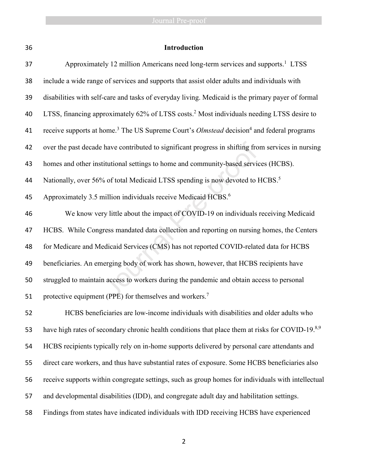| 36 | Introduction                                                                                                             |  |  |
|----|--------------------------------------------------------------------------------------------------------------------------|--|--|
| 37 | Approximately 12 million Americans need long-term services and supports. <sup>1</sup> LTSS                               |  |  |
| 38 | include a wide range of services and supports that assist older adults and individuals with                              |  |  |
| 39 | disabilities with self-care and tasks of everyday living. Medicaid is the primary payer of formal                        |  |  |
| 40 | LTSS, financing approximately 62% of LTSS costs. <sup>2</sup> Most individuals needing LTSS desire to                    |  |  |
| 41 | receive supports at home. <sup>3</sup> The US Supreme Court's <i>Olmstead</i> decision <sup>4</sup> and federal programs |  |  |
| 42 | over the past decade have contributed to significant progress in shifting from services in nursing                       |  |  |
| 43 | homes and other institutional settings to home and community-based services (HCBS).                                      |  |  |
| 44 | Nationally, over 56% of total Medicaid LTSS spending is now devoted to HCBS. <sup>5</sup>                                |  |  |
| 45 | Approximately 3.5 million individuals receive Medicaid HCBS. <sup>6</sup>                                                |  |  |
| 46 | We know very little about the impact of COVID-19 on individuals receiving Medicaid                                       |  |  |
| 47 | HCBS. While Congress mandated data collection and reporting on nursing homes, the Centers                                |  |  |
| 48 | for Medicare and Medicaid Services (CMS) has not reported COVID-related data for HCBS                                    |  |  |
| 49 | beneficiaries. An emerging body of work has shown, however, that HCBS recipients have                                    |  |  |
| 50 | struggled to maintain access to workers during the pandemic and obtain access to personal                                |  |  |
| 51 | protective equipment (PPE) for themselves and workers. <sup>7</sup>                                                      |  |  |
| 52 | HCBS beneficiaries are low-income individuals with disabilities and older adults who                                     |  |  |
| 53 | have high rates of secondary chronic health conditions that place them at risks for COVID-19.8,9                         |  |  |
| 54 | HCBS recipients typically rely on in-home supports delivered by personal care attendants and                             |  |  |
| 55 | direct care workers, and thus have substantial rates of exposure. Some HCBS beneficiaries also                           |  |  |
| 56 | receive supports within congregate settings, such as group homes for individuals with intellectual                       |  |  |
| 57 | and developmental disabilities (IDD), and congregate adult day and habilitation settings.                                |  |  |
| 58 | Findings from states have indicated individuals with IDD receiving HCBS have experienced                                 |  |  |
|    |                                                                                                                          |  |  |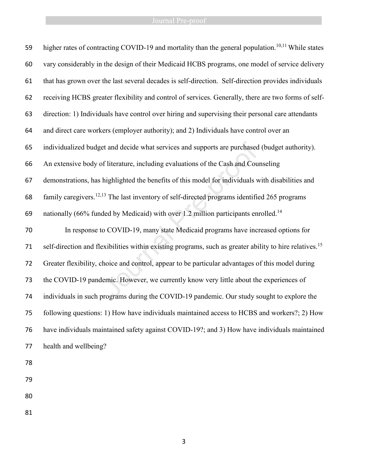| 59 | higher rates of contracting COVID-19 and mortality than the general population. <sup>10,11</sup> While states       |
|----|---------------------------------------------------------------------------------------------------------------------|
| 60 | vary considerably in the design of their Medicaid HCBS programs, one model of service delivery                      |
| 61 | that has grown over the last several decades is self-direction. Self-direction provides individuals                 |
| 62 | receiving HCBS greater flexibility and control of services. Generally, there are two forms of self-                 |
| 63 | direction: 1) Individuals have control over hiring and supervising their personal care attendants                   |
| 64 | and direct care workers (employer authority); and 2) Individuals have control over an                               |
| 65 | individualized budget and decide what services and supports are purchased (budget authority).                       |
| 66 | An extensive body of literature, including evaluations of the Cash and Counseling                                   |
| 67 | demonstrations, has highlighted the benefits of this model for individuals with disabilities and                    |
| 68 | family caregivers. <sup>12,13</sup> The last inventory of self-directed programs identified 265 programs            |
| 69 | nationally (66% funded by Medicaid) with over 1.2 million participants enrolled. <sup>14</sup>                      |
| 70 | In response to COVID-19, many state Medicaid programs have increased options for                                    |
| 71 | self-direction and flexibilities within existing programs, such as greater ability to hire relatives. <sup>15</sup> |
| 72 | Greater flexibility, choice and control, appear to be particular advantages of this model during                    |
| 73 | the COVID-19 pandemic. However, we currently know very little about the experiences of                              |
| 74 | individuals in such programs during the COVID-19 pandemic. Our study sought to explore the                          |
| 75 | following questions: 1) How have individuals maintained access to HCBS and workers?; 2) How                         |
| 76 | have individuals maintained safety against COVID-19?; and 3) How have individuals maintained                        |
| 77 | health and wellbeing?                                                                                               |
| 78 |                                                                                                                     |
|    |                                                                                                                     |
| 79 |                                                                                                                     |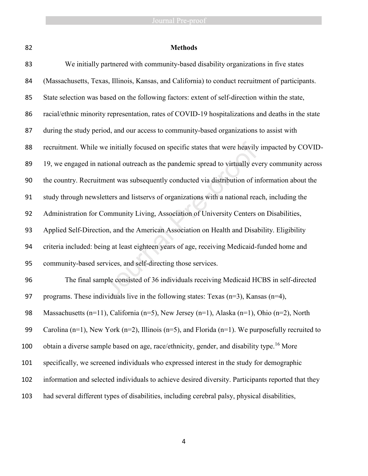|             | ٧ |
|-------------|---|
| ٦<br>I      | I |
| ×<br>I<br>٩ |   |

# **Methods**

| 83  | We initially partnered with community-based disability organizations in five states                   |
|-----|-------------------------------------------------------------------------------------------------------|
| 84  | (Massachusetts, Texas, Illinois, Kansas, and California) to conduct recruitment of participants.      |
| 85  | State selection was based on the following factors: extent of self-direction within the state,        |
| 86  | racial/ethnic minority representation, rates of COVID-19 hospitalizations and deaths in the state     |
| 87  | during the study period, and our access to community-based organizations to assist with               |
| 88  | recruitment. While we initially focused on specific states that were heavily impacted by COVID-       |
| 89  | 19, we engaged in national outreach as the pandemic spread to virtually every community across        |
| 90  | the country. Recruitment was subsequently conducted via distribution of information about the         |
| 91  | study through newsletters and listservs of organizations with a national reach, including the         |
| 92  | Administration for Community Living, Association of University Centers on Disabilities,               |
| 93  | Applied Self-Direction, and the American Association on Health and Disability. Eligibility            |
| 94  | criteria included: being at least eighteen years of age, receiving Medicaid-funded home and           |
| 95  | community-based services, and self-directing those services.                                          |
| 96  | The final sample consisted of 36 individuals receiving Medicaid HCBS in self-directed                 |
| 97  | programs. These individuals live in the following states: Texas $(n=3)$ , Kansas $(n=4)$ ,            |
| 98  | Massachusetts (n=11), California (n=5), New Jersey (n=1), Alaska (n=1), Ohio (n=2), North             |
| 99  | Carolina (n=1), New York (n=2), Illinois (n=5), and Florida (n=1). We purposefully recruited to       |
| 100 | obtain a diverse sample based on age, race/ethnicity, gender, and disability type. <sup>16</sup> More |
| 101 | specifically, we screened individuals who expressed interest in the study for demographic             |
| 102 | information and selected individuals to achieve desired diversity. Participants reported that they    |
| 103 | had several different types of disabilities, including cerebral palsy, physical disabilities,         |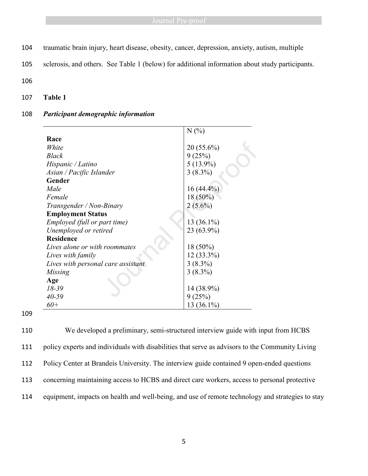- 104 traumatic brain injury, heart disease, obesity, cancer, depression, anxiety, autism, multiple
- 105 sclerosis, and others. See Table 1 (below) for additional information about study participants.

106

107 **Table 1**

### 108 *Participant demographic information*

|                                    | N(%          |
|------------------------------------|--------------|
| Race                               |              |
| White                              | $20(55.6\%)$ |
| <b>Black</b>                       | 9(25%)       |
| Hispanic / Latino                  | $5(13.9\%)$  |
| Asian / Pacific Islander           | $3(8.3\%)$   |
| Gender                             |              |
| Male                               | $16(44.4\%)$ |
| Female                             | $18(50\%)$   |
| Transgender / Non-Binary           | $2(5.6\%)$   |
| <b>Employment Status</b>           |              |
| Employed (full or part time)       | 13 (36.1%)   |
| Unemployed or retired              | 23 (63.9%)   |
| <b>Residence</b>                   |              |
| Lives alone or with roommates      | $18(50\%)$   |
| Lives with family                  | 12 (33.3%)   |
| Lives with personal care assistant | $3(8.3\%)$   |
| Missing                            | $3(8.3\%)$   |
| Age                                |              |
| $18 - 39$                          | 14 (38.9%)   |
| $40 - 59$                          | 9(25%)       |
| $60+$                              | 13 (36.1%)   |

109

 We developed a preliminary, semi-structured interview guide with input from HCBS policy experts and individuals with disabilities that serve as advisors to the Community Living Policy Center at Brandeis University. The interview guide contained 9 open-ended questions concerning maintaining access to HCBS and direct care workers, access to personal protective equipment, impacts on health and well-being, and use of remote technology and strategies to stay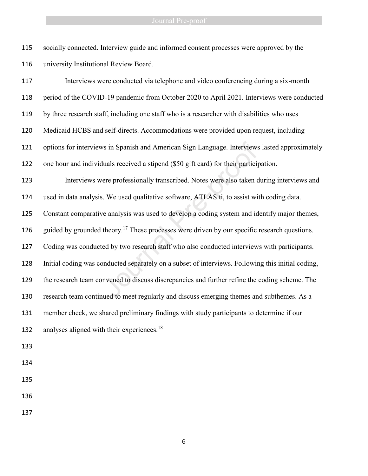socially connected. Interview guide and informed consent processes were approved by the university Institutional Review Board.

 Interviews were conducted via telephone and video conferencing during a six-month period of the COVID-19 pandemic from October 2020 to April 2021. Interviews were conducted by three research staff, including one staff who is a researcher with disabilities who uses Medicaid HCBS and self-directs. Accommodations were provided upon request, including options for interviews in Spanish and American Sign Language. Interviews lasted approximately one hour and individuals received a stipend (\$50 gift card) for their participation. Interviews were professionally transcribed. Notes were also taken during interviews and used in data analysis. We used qualitative software, ATLAS.ti, to assist with coding data. Constant comparative analysis was used to develop a coding system and identify major themes, 126 guided by grounded theory.<sup>17</sup> These processes were driven by our specific research questions. Coding was conducted by two research staff who also conducted interviews with participants. Initial coding was conducted separately on a subset of interviews. Following this initial coding, the research team convened to discuss discrepancies and further refine the coding scheme. The research team continued to meet regularly and discuss emerging themes and subthemes. As a member check, we shared preliminary findings with study participants to determine if our 132 analyses aligned with their experiences.<sup>18</sup> ws in Spanish and American Sign Language. Interviews<br>
duals received a stipend (\$50 gift card) for their particip<br>
ere professionally transcribed. Notes were also taken c<br>
s. We used qualitative software, ATLAS.ti, to assi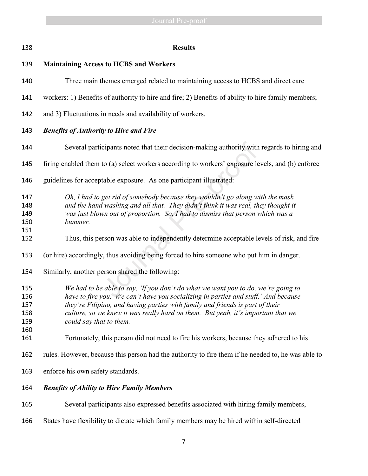| 138                                    | <b>Results</b>                                                                                                                                                                                                                                                                                                                                                          |  |  |
|----------------------------------------|-------------------------------------------------------------------------------------------------------------------------------------------------------------------------------------------------------------------------------------------------------------------------------------------------------------------------------------------------------------------------|--|--|
| 139                                    | <b>Maintaining Access to HCBS and Workers</b>                                                                                                                                                                                                                                                                                                                           |  |  |
| 140                                    | Three main themes emerged related to maintaining access to HCBS and direct care                                                                                                                                                                                                                                                                                         |  |  |
| 141                                    | workers: 1) Benefits of authority to hire and fire; 2) Benefits of ability to hire family members;                                                                                                                                                                                                                                                                      |  |  |
| 142                                    | and 3) Fluctuations in needs and availability of workers.                                                                                                                                                                                                                                                                                                               |  |  |
| 143                                    | <b>Benefits of Authority to Hire and Fire</b>                                                                                                                                                                                                                                                                                                                           |  |  |
| 144                                    | Several participants noted that their decision-making authority with regards to hiring and                                                                                                                                                                                                                                                                              |  |  |
| 145                                    | firing enabled them to (a) select workers according to workers' exposure levels, and (b) enforce                                                                                                                                                                                                                                                                        |  |  |
| 146                                    | guidelines for acceptable exposure. As one participant illustrated:                                                                                                                                                                                                                                                                                                     |  |  |
| 147<br>148<br>149<br>150<br>151        | Oh, I had to get rid of somebody because they wouldn't go along with the mask<br>and the hand washing and all that. They didn't think it was real, they thought it<br>was just blown out of proportion. So, I had to dismiss that person which was a<br>bummer.                                                                                                         |  |  |
| 152                                    | Thus, this person was able to independently determine acceptable levels of risk, and fire                                                                                                                                                                                                                                                                               |  |  |
| 153                                    | (or hire) accordingly, thus avoiding being forced to hire someone who put him in danger.                                                                                                                                                                                                                                                                                |  |  |
| 154                                    | Similarly, another person shared the following:                                                                                                                                                                                                                                                                                                                         |  |  |
| 155<br>156<br>157<br>158<br>159<br>160 | We had to be able to say, 'If you don't do what we want you to do, we're going to<br>have to fire you. We can't have you socializing in parties and stuff.' And because<br>they're Filipino, and having parties with family and friends is part of their<br>culture, so we knew it was really hard on them. But yeah, it's important that we<br>could say that to them. |  |  |
| 161                                    | Fortunately, this person did not need to fire his workers, because they adhered to his                                                                                                                                                                                                                                                                                  |  |  |
| 162                                    | rules. However, because this person had the authority to fire them if he needed to, he was able to                                                                                                                                                                                                                                                                      |  |  |
| 163                                    | enforce his own safety standards.                                                                                                                                                                                                                                                                                                                                       |  |  |
| 164                                    | <b>Benefits of Ability to Hire Family Members</b>                                                                                                                                                                                                                                                                                                                       |  |  |
| 165                                    | Several participants also expressed benefits associated with hiring family members,                                                                                                                                                                                                                                                                                     |  |  |
| 166                                    | States have flexibility to dictate which family members may be hired within self-directed                                                                                                                                                                                                                                                                               |  |  |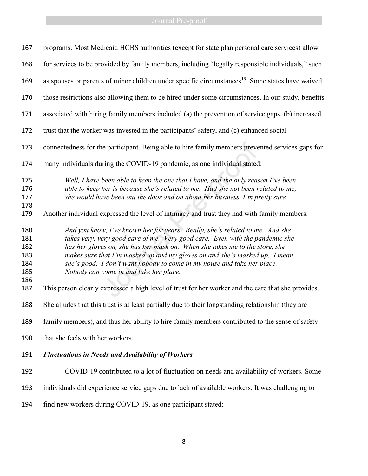# **Example 2018** Journal Pre-proof

| 167                                           | programs. Most Medicaid HCBS authorities (except for state plan personal care services) allow                                                                                                                                                                                                                                                                                                                                                  |
|-----------------------------------------------|------------------------------------------------------------------------------------------------------------------------------------------------------------------------------------------------------------------------------------------------------------------------------------------------------------------------------------------------------------------------------------------------------------------------------------------------|
| 168                                           | for services to be provided by family members, including "legally responsible individuals," such                                                                                                                                                                                                                                                                                                                                               |
| 169                                           | as spouses or parents of minor children under specific circumstances <sup>19</sup> . Some states have waived                                                                                                                                                                                                                                                                                                                                   |
| 170                                           | those restrictions also allowing them to be hired under some circumstances. In our study, benefits                                                                                                                                                                                                                                                                                                                                             |
| 171                                           | associated with hiring family members included (a) the prevention of service gaps, (b) increased                                                                                                                                                                                                                                                                                                                                               |
| 172                                           | trust that the worker was invested in the participants' safety, and (c) enhanced social                                                                                                                                                                                                                                                                                                                                                        |
| 173                                           | connectedness for the participant. Being able to hire family members prevented services gaps for                                                                                                                                                                                                                                                                                                                                               |
| 174                                           | many individuals during the COVID-19 pandemic, as one individual stated:                                                                                                                                                                                                                                                                                                                                                                       |
| 175<br>176<br>177<br>178<br>179               | Well, I have been able to keep the one that I have, and the only reason I've been<br>able to keep her is because she's related to me. Had she not been related to me,<br>she would have been out the door and on about her business, I'm pretty sure.<br>Another individual expressed the level of intimacy and trust they had with family members:                                                                                            |
| 180<br>181<br>182<br>183<br>184<br>185<br>186 | And you know, I've known her for years. Really, she's related to me. And she<br>takes very, very good care of me. Very good care. Even with the pandemic she<br>has her gloves on, she has her mask on. When she takes me to the store, she<br>makes sure that I'm masked up and my gloves on and she's masked up. I mean<br>she's good. I don't want nobody to come in my house and take her place.<br>Nobody can come in and take her place. |
| 187                                           | This person clearly expressed a high level of trust for her worker and the care that she provides.                                                                                                                                                                                                                                                                                                                                             |
| 188                                           | She alludes that this trust is at least partially due to their longstanding relationship (they are                                                                                                                                                                                                                                                                                                                                             |
| 189                                           | family members), and thus her ability to hire family members contributed to the sense of safety                                                                                                                                                                                                                                                                                                                                                |
| 190                                           | that she feels with her workers.                                                                                                                                                                                                                                                                                                                                                                                                               |
| 191                                           | <b>Fluctuations in Needs and Availability of Workers</b>                                                                                                                                                                                                                                                                                                                                                                                       |
| 192                                           | COVID-19 contributed to a lot of fluctuation on needs and availability of workers. Some                                                                                                                                                                                                                                                                                                                                                        |
| 193                                           | individuals did experience service gaps due to lack of available workers. It was challenging to                                                                                                                                                                                                                                                                                                                                                |
| 194                                           | find new workers during COVID-19, as one participant stated:                                                                                                                                                                                                                                                                                                                                                                                   |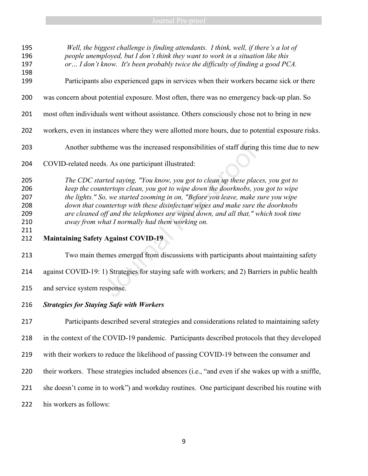*Well, the biggest challenge is finding attendants. I think, well, if there's a lot of people unemployed, but I don't think they want to work in a situation like this or… I don't know. It's been probably twice the difficulty of finding a good PCA.* Participants also experienced gaps in services when their workers became sick or there was concern about potential exposure. Most often, there was no emergency back-up plan. So most often individuals went without assistance. Others consciously chose not to bring in new workers, even in instances where they were allotted more hours, due to potential exposure risks. Another subtheme was the increased responsibilities of staff during this time due to new COVID-related needs. As one participant illustrated: *The CDC started saying, "You know, you got to clean up these places, you got to keep the countertops clean, you got to wipe down the doorknobs, you got to wipe the lights." So, we started zooming in on, "Before you leave, make sure you wipe down that countertop with these disinfectant wipes and make sure the doorknobs are cleaned off and the telephones are wiped down, and all that," which took time away from what I normally had them working on.* **Maintaining Safety Against COVID-19** Two main themes emerged from discussions with participants about maintaining safety against COVID-19: 1) Strategies for staying safe with workers; and 2) Barriers in public health and service system response. *Strategies for Staying Safe with Workers*  theme was the increased responsibilities of staff during<br>ds. As one participant illustrated:<br>treed saying, "You know, you got to clean up these place<br>intertops clean, you got to wipe down the doorknobs, you<br>o, we started z

 Participants described several strategies and considerations related to maintaining safety in the context of the COVID-19 pandemic. Participants described protocols that they developed with their workers to reduce the likelihood of passing COVID-19 between the consumer and their workers. These strategies included absences (i.e., "and even if she wakes up with a sniffle, she doesn't come in to work") and workday routines. One participant described his routine with his workers as follows: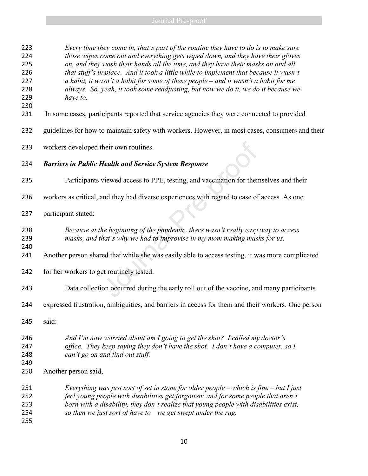| 223<br>224 | Every time they come in, that's part of the routine they have to do is to make sure<br>those wipes come out and everything gets wiped down, and they have their gloves |
|------------|------------------------------------------------------------------------------------------------------------------------------------------------------------------------|
| 225        | on, and they wash their hands all the time, and they have their masks on and all                                                                                       |
| 226        | that stuff's in place. And it took a little while to implement that because it wasn't                                                                                  |
| 227        | a habit, it wasn't a habit for some of these people $-$ and it wasn't a habit for me                                                                                   |
| 228        |                                                                                                                                                                        |
|            | always. So, yeah, it took some readjusting, but now we do it, we do it because we                                                                                      |
| 229        | have to.                                                                                                                                                               |
| 230<br>231 | In some cases, participants reported that service agencies they were connected to provided                                                                             |
| 232        | guidelines for how to maintain safety with workers. However, in most cases, consumers and their                                                                        |
| 233        | workers developed their own routines.                                                                                                                                  |
| 234        | <b>Barriers in Public Health and Service System Response</b>                                                                                                           |
| 235        | Participants viewed access to PPE, testing, and vaccination for themselves and their                                                                                   |
| 236        | workers as critical, and they had diverse experiences with regard to ease of access. As one                                                                            |
| 237        | participant stated:                                                                                                                                                    |
| 238<br>239 | Because at the beginning of the pandemic, there wasn't really easy way to access<br>masks, and that's why we had to improvise in my mom making masks for us.           |
| 240<br>241 | Another person shared that while she was easily able to access testing, it was more complicated                                                                        |
| 242        | for her workers to get routinely tested.                                                                                                                               |
| 243        | Data collection occurred during the early roll out of the vaccine, and many participants                                                                               |
| 244        | expressed frustration, ambiguities, and barriers in access for them and their workers. One person                                                                      |
| 245        | said:                                                                                                                                                                  |
| 246        | And I'm now worried about am I going to get the shot? I called my doctor's                                                                                             |
| 247        | office. They keep saying they don't have the shot. I don't have a computer, so I                                                                                       |
| 248        | can't go on and find out stuff.                                                                                                                                        |
| 249        |                                                                                                                                                                        |
| 250        | Another person said,                                                                                                                                                   |
| 251        | Everything was just sort of set in stone for older people – which is fine – but I just                                                                                 |
| 252        | feel young people with disabilities get forgotten; and for some people that aren't                                                                                     |
| 253        | born with a disability, they don't realize that young people with disabilities exist,                                                                                  |
| 254        | so then we just sort of have to—we get swept under the rug.                                                                                                            |
| 255        |                                                                                                                                                                        |
|            |                                                                                                                                                                        |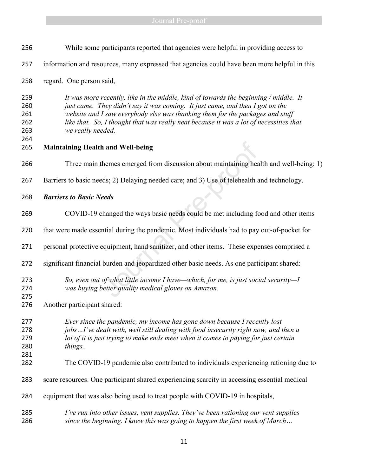| 256                                    | While some participants reported that agencies were helpful in providing access to                                                                                                                                                                                                                                                                                    |  |  |
|----------------------------------------|-----------------------------------------------------------------------------------------------------------------------------------------------------------------------------------------------------------------------------------------------------------------------------------------------------------------------------------------------------------------------|--|--|
| 257                                    | information and resources, many expressed that agencies could have been more helpful in this                                                                                                                                                                                                                                                                          |  |  |
| 258                                    | regard. One person said,                                                                                                                                                                                                                                                                                                                                              |  |  |
| 259<br>260<br>261<br>262<br>263<br>264 | It was more recently, like in the middle, kind of towards the beginning / middle. It<br>just came. They didn't say it was coming. It just came, and then I got on the<br>website and I saw everybody else was thanking them for the packages and stuff<br>like that. So, I thought that was really neat because it was a lot of necessities that<br>we really needed. |  |  |
| 265                                    | <b>Maintaining Health and Well-being</b>                                                                                                                                                                                                                                                                                                                              |  |  |
| 266                                    | Three main themes emerged from discussion about maintaining health and well-being: 1)                                                                                                                                                                                                                                                                                 |  |  |
| 267                                    | Barriers to basic needs; 2) Delaying needed care; and 3) Use of telehealth and technology.                                                                                                                                                                                                                                                                            |  |  |
| 268                                    | <b>Barriers to Basic Needs</b>                                                                                                                                                                                                                                                                                                                                        |  |  |
| 269                                    | COVID-19 changed the ways basic needs could be met including food and other items                                                                                                                                                                                                                                                                                     |  |  |
| 270                                    | that were made essential during the pandemic. Most individuals had to pay out-of-pocket for                                                                                                                                                                                                                                                                           |  |  |
| 271                                    | personal protective equipment, hand sanitizer, and other items. These expenses comprised a                                                                                                                                                                                                                                                                            |  |  |
| 272                                    | significant financial burden and jeopardized other basic needs. As one participant shared:                                                                                                                                                                                                                                                                            |  |  |
| 273<br>274<br>275                      | So, even out of what little income I have—which, for me, is just social security—I<br>was buying better quality medical gloves on Amazon.                                                                                                                                                                                                                             |  |  |
| 276                                    | Another participant shared:                                                                                                                                                                                                                                                                                                                                           |  |  |
| 277<br>278<br>279<br>280               | Ever since the pandemic, my income has gone down because I recently lost<br>jobsI've dealt with, well still dealing with food insecurity right now, and then a<br>lot of it is just trying to make ends meet when it comes to paying for just certain<br>things                                                                                                       |  |  |
| 281<br>282                             | The COVID-19 pandemic also contributed to individuals experiencing rationing due to                                                                                                                                                                                                                                                                                   |  |  |
| 283                                    | scare resources. One participant shared experiencing scarcity in accessing essential medical                                                                                                                                                                                                                                                                          |  |  |
| 284                                    | equipment that was also being used to treat people with COVID-19 in hospitals,                                                                                                                                                                                                                                                                                        |  |  |
| 285<br>286                             | I've run into other issues, vent supplies. They've been rationing our vent supplies<br>since the beginning. I knew this was going to happen the first week of March                                                                                                                                                                                                   |  |  |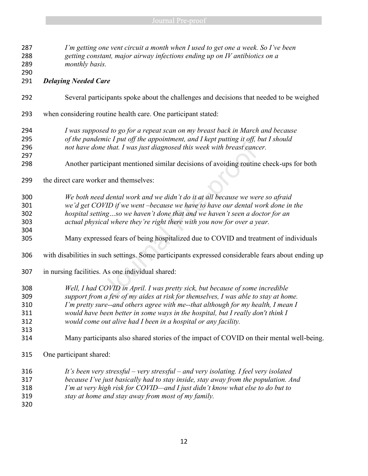| 287<br>288<br>289 | I'm getting one vent circuit a month when I used to get one a week. So I've been<br>getting constant, major airway infections ending up on IV antibiotics on a<br>monthly basis. |  |
|-------------------|----------------------------------------------------------------------------------------------------------------------------------------------------------------------------------|--|
| 290               |                                                                                                                                                                                  |  |
| 291               | <b>Delaying Needed Care</b>                                                                                                                                                      |  |
| 292               | Several participants spoke about the challenges and decisions that needed to be weighed                                                                                          |  |
| 293               | when considering routine health care. One participant stated:                                                                                                                    |  |
| 294               | I was supposed to go for a repeat scan on my breast back in March and because                                                                                                    |  |
| 295               | of the pandemic I put off the appointment, and I kept putting it off, but I should                                                                                               |  |
| 296               | not have done that. I was just diagnosed this week with breast cancer.                                                                                                           |  |
| 297<br>298        | Another participant mentioned similar decisions of avoiding routine check-ups for both                                                                                           |  |
| 299               | the direct care worker and themselves:                                                                                                                                           |  |
| 300               | We both need dental work and we didn't do it at all because we were so afraid                                                                                                    |  |
| 301               | we'd get COVID if we went-because we have to have our dental work done in the                                                                                                    |  |
| 302               | hospital settingso we haven't done that and we haven't seen a doctor for an                                                                                                      |  |
| 303               | actual physical where they're right there with you now for over a year.                                                                                                          |  |
| 304               |                                                                                                                                                                                  |  |
| 305               | Many expressed fears of being hospitalized due to COVID and treatment of individuals                                                                                             |  |
| 306               | with disabilities in such settings. Some participants expressed considerable fears about ending up                                                                               |  |
| 307               | in nursing facilities. As one individual shared:                                                                                                                                 |  |
| 308               | Well, I had COVID in April. I was pretty sick, but because of some incredible                                                                                                    |  |
| 309               | support from a few of my aides at risk for themselves, I was able to stay at home.                                                                                               |  |
| 310               | I'm pretty sure--and others agree with me--that although for my health, I mean I                                                                                                 |  |
| 311               | would have been better in some ways in the hospital, but I really don't think I                                                                                                  |  |
| 312               | would come out alive had I been in a hospital or any facility.                                                                                                                   |  |
| 313               |                                                                                                                                                                                  |  |
| 314               | Many participants also shared stories of the impact of COVID on their mental well-being.                                                                                         |  |
| 315               | One participant shared:                                                                                                                                                          |  |
| 316               | It's been very stressful – very stressful – and very isolating. I feel very isolated                                                                                             |  |
| 317               | because I've just basically had to stay inside, stay away from the population. And                                                                                               |  |

- *I'm at very high risk for COVID—and I just didn't know what else to do but to*
- *stay at home and stay away from most of my family.*
-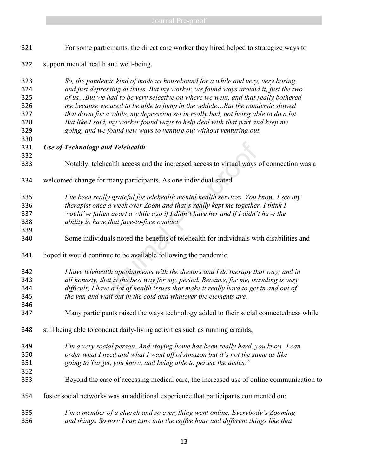| 321                                           | For some participants, the direct care worker they hired helped to strategize ways to                                                                                                                                                                                                                                                                                                                                                                                                                                                                                               |
|-----------------------------------------------|-------------------------------------------------------------------------------------------------------------------------------------------------------------------------------------------------------------------------------------------------------------------------------------------------------------------------------------------------------------------------------------------------------------------------------------------------------------------------------------------------------------------------------------------------------------------------------------|
| 322                                           | support mental health and well-being,                                                                                                                                                                                                                                                                                                                                                                                                                                                                                                                                               |
| 323<br>324<br>325<br>326<br>327<br>328<br>329 | So, the pandemic kind of made us housebound for a while and very, very boring<br>and just depressing at times. But my worker, we found ways around it, just the two<br>of usBut we had to be very selective on where we went, and that really bothered<br>me because we used to be able to jump in the vehicleBut the pandemic slowed<br>that down for a while, my depression set in really bad, not being able to do a lot.<br>But like I said, my worker found ways to help deal with that part and keep me<br>going, and we found new ways to venture out without venturing out. |
| 330                                           |                                                                                                                                                                                                                                                                                                                                                                                                                                                                                                                                                                                     |
| 331<br>332                                    | <b>Use of Technology and Telehealth</b>                                                                                                                                                                                                                                                                                                                                                                                                                                                                                                                                             |
| 333                                           | Notably, telehealth access and the increased access to virtual ways of connection was a                                                                                                                                                                                                                                                                                                                                                                                                                                                                                             |
| 334                                           | welcomed change for many participants. As one individual stated:                                                                                                                                                                                                                                                                                                                                                                                                                                                                                                                    |
| 335<br>336<br>337<br>338                      | I've been really grateful for telehealth mental health services. You know, I see my<br>therapist once a week over Zoom and that's really kept me together. I think I<br>would've fallen apart a while ago if I didn't have her and if I didn't have the<br>ability to have that face-to-face contact.                                                                                                                                                                                                                                                                               |
| 339<br>340                                    | Some individuals noted the benefits of telehealth for individuals with disabilities and                                                                                                                                                                                                                                                                                                                                                                                                                                                                                             |
| 341                                           | hoped it would continue to be available following the pandemic.                                                                                                                                                                                                                                                                                                                                                                                                                                                                                                                     |
| 342<br>343<br>344<br>345<br>346               | I have telehealth appointments with the doctors and I do therapy that way; and in<br>all honesty, that is the best way for my, period. Because, for me, traveling is very<br>difficult; I have a lot of health issues that make it really hard to get in and out of<br>the van and wait out in the cold and whatever the elements are.                                                                                                                                                                                                                                              |
| 347                                           | Many participants raised the ways technology added to their social connectedness while                                                                                                                                                                                                                                                                                                                                                                                                                                                                                              |
| 348                                           | still being able to conduct daily-living activities such as running errands,                                                                                                                                                                                                                                                                                                                                                                                                                                                                                                        |
| 349<br>350<br>351<br>352<br>353               | I'm a very social person. And staying home has been really hard, you know. I can<br>order what I need and what I want off of Amazon but it's not the same as like<br>going to Target, you know, and being able to peruse the aisles."<br>Beyond the ease of accessing medical care, the increased use of online communication to                                                                                                                                                                                                                                                    |
| 354                                           | foster social networks was an additional experience that participants commented on:                                                                                                                                                                                                                                                                                                                                                                                                                                                                                                 |
| 355<br>356                                    | I'm a member of a church and so everything went online. Everybody's Zooming<br>and things. So now I can tune into the coffee hour and different things like that                                                                                                                                                                                                                                                                                                                                                                                                                    |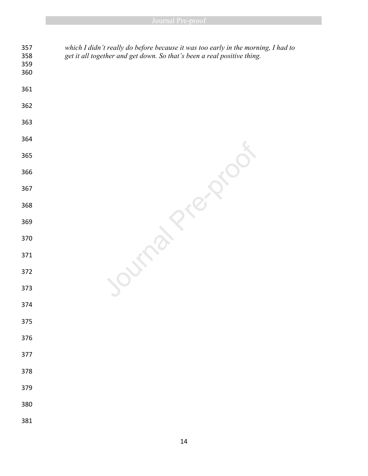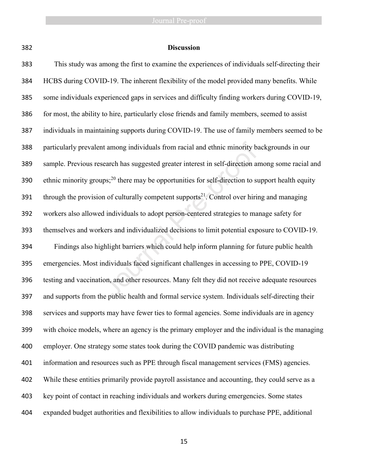| ۰,      |             |  |
|---------|-------------|--|
|         |             |  |
| I<br>۰. | ×<br>I<br>٩ |  |

#### **Discussion**

 This study was among the first to examine the experiences of individuals self-directing their HCBS during COVID-19. The inherent flexibility of the model provided many benefits. While some individuals experienced gaps in services and difficulty finding workers during COVID-19, for most, the ability to hire, particularly close friends and family members, seemed to assist individuals in maintaining supports during COVID-19. The use of family members seemed to be particularly prevalent among individuals from racial and ethnic minority backgrounds in our sample. Previous research has suggested greater interest in self-direction among some racial and 390 ethnic minority groups;<sup>20</sup> there may be opportunities for self-direction to support health equity 391 through the provision of culturally competent supports<sup>21</sup>. Control over hiring and managing workers also allowed individuals to adopt person-centered strategies to manage safety for themselves and workers and individualized decisions to limit potential exposure to COVID-19. Findings also highlight barriers which could help inform planning for future public health emergencies. Most individuals faced significant challenges in accessing to PPE, COVID-19 testing and vaccination, and other resources. Many felt they did not receive adequate resources and supports from the public health and formal service system. Individuals self-directing their services and supports may have fewer ties to formal agencies. Some individuals are in agency with choice models, where an agency is the primary employer and the individual is the managing employer. One strategy some states took during the COVID pandemic was distributing information and resources such as PPE through fiscal management services (FMS) agencies. While these entities primarily provide payroll assistance and accounting, they could serve as a key point of contact in reaching individuals and workers during emergencies. Some states expanded budget authorities and flexibilities to allow individuals to purchase PPE, additional It among individuals from racial and ethnic minority basearch has suggested greater interest in self-direction as<br>pps;<sup>20</sup> there may be opportunities for self-direction to sum of culturally competent supports<sup>21</sup>. Control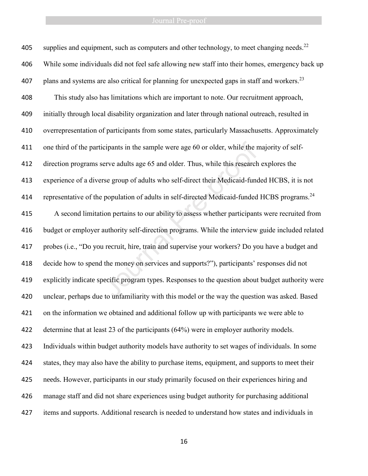405 supplies and equipment, such as computers and other technology, to meet changing needs.<sup>22</sup> While some individuals did not feel safe allowing new staff into their homes, emergency back up 407 plans and systems are also critical for planning for unexpected gaps in staff and workers.<sup>23</sup> This study also has limitations which are important to note. Our recruitment approach, initially through local disability organization and later through national outreach, resulted in overrepresentation of participants from some states, particularly Massachusetts. Approximately one third of the participants in the sample were age 60 or older, while the majority of self- direction programs serve adults age 65 and older. Thus, while this research explores the experience of a diverse group of adults who self-direct their Medicaid-funded HCBS, it is not 414 representative of the population of adults in self-directed Medicaid-funded HCBS programs.<sup>24</sup> A second limitation pertains to our ability to assess whether participants were recruited from budget or employer authority self-direction programs. While the interview guide included related probes (i.e., "Do you recruit, hire, train and supervise your workers? Do you have a budget and decide how to spend the money on services and supports?"), participants' responses did not explicitly indicate specific program types. Responses to the question about budget authority were unclear, perhaps due to unfamiliarity with this model or the way the question was asked. Based on the information we obtained and additional follow up with participants we were able to determine that at least 23 of the participants (64%) were in employer authority models. Individuals within budget authority models have authority to set wages of individuals. In some states, they may also have the ability to purchase items, equipment, and supports to meet their needs. However, participants in our study primarily focused on their experiences hiring and manage staff and did not share experiences using budget authority for purchasing additional items and supports. Additional research is needed to understand how states and individuals in icipants in the sample were age 60 or older, while the refree adults age 65 and older. Thus, while this research<br>rse group of adults who self-direct their Medicaid-func<br>population of adults in self-directed Medicaid-funded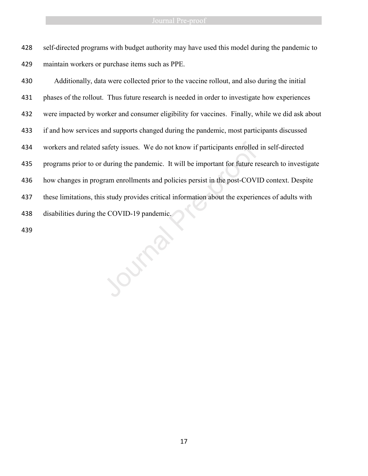self-directed programs with budget authority may have used this model during the pandemic to maintain workers or purchase items such as PPE.

 Additionally, data were collected prior to the vaccine rollout, and also during the initial phases of the rollout. Thus future research is needed in order to investigate how experiences were impacted by worker and consumer eligibility for vaccines. Finally, while we did ask about if and how services and supports changed during the pandemic, most participants discussed workers and related safety issues. We do not know if participants enrolled in self-directed programs prior to or during the pandemic. It will be important for future research to investigate how changes in program enrollments and policies persist in the post-COVID context. Despite these limitations, this study provides critical information about the experiences of adults with disabilities during the COVID-19 pandemic. workers and related safety issues. We do not know if participants enrolled<br>
435 programs prior to or during the pandemic. It will be important for future re<br>
436 how changes in program enrollments and policies persist in t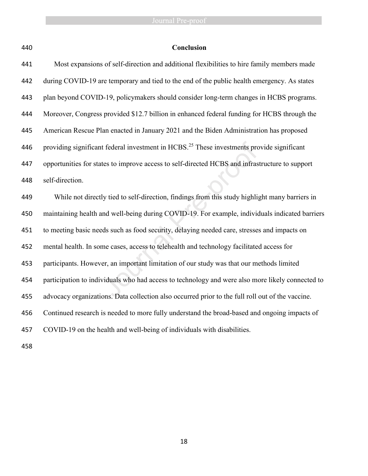| M<br>۰. |  |  |  |
|---------|--|--|--|
|---------|--|--|--|

# **Conclusion**

| 441 | Most expansions of self-direction and additional flexibilities to hire family members made            |
|-----|-------------------------------------------------------------------------------------------------------|
| 442 | during COVID-19 are temporary and tied to the end of the public health emergency. As states           |
| 443 | plan beyond COVID-19, policymakers should consider long-term changes in HCBS programs.                |
| 444 | Moreover, Congress provided \$12.7 billion in enhanced federal funding for HCBS through the           |
| 445 | American Rescue Plan enacted in January 2021 and the Biden Administration has proposed                |
| 446 | providing significant federal investment in HCBS. <sup>25</sup> These investments provide significant |
| 447 | opportunities for states to improve access to self-directed HCBS and infrastructure to support        |
| 448 | self-direction.                                                                                       |
| 449 | While not directly tied to self-direction, findings from this study highlight many barriers in        |
| 450 | maintaining health and well-being during COVID-19. For example, individuals indicated barriers        |
| 451 | to meeting basic needs such as food security, delaying needed care, stresses and impacts on           |
| 452 | mental health. In some cases, access to telehealth and technology facilitated access for              |
| 453 | participants. However, an important limitation of our study was that our methods limited              |
| 454 | participation to individuals who had access to technology and were also more likely connected to      |
| 455 | advocacy organizations. Data collection also occurred prior to the full roll out of the vaccine.      |
| 456 | Continued research is needed to more fully understand the broad-based and ongoing impacts of          |
| 457 | COVID-19 on the health and well-being of individuals with disabilities.                               |
|     |                                                                                                       |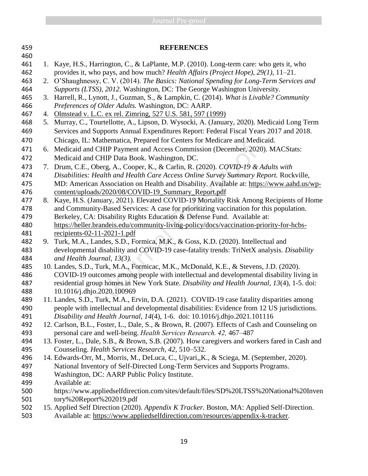| 459 |    | <b>REFERENCES</b>                                                                              |
|-----|----|------------------------------------------------------------------------------------------------|
| 460 |    |                                                                                                |
| 461 | 1. | Kaye, H.S., Harrington, C., & LaPlante, M.P. (2010). Long-term care: who gets it, who          |
| 462 |    | provides it, who pays, and how much? Health Affairs (Project Hope), $29(1)$ , $11-21$ .        |
| 463 |    | 2. O'Shaughnessy, C. V. (2014). The Basics: National Spending for Long-Term Services and       |
| 464 |    | Supports (LTSS), 2012. Washington, DC: The George Washington University.                       |
| 465 | 3. | Harrell, R., Lynott, J., Guzman, S., & Lampkin, C. (2014). What is Livable? Community          |
| 466 |    | Preferences of Older Adults. Washington, DC: AARP.                                             |
| 467 |    | 4. Olmstead v. L.C. ex rel. Zimring, 527 U.S. 581, 597 (1999)                                  |
| 468 |    | 5. Murray, C., Tourtellotte, A., Lipson, D. Wysocki, A. (January, 2020). Medicaid Long Term    |
| 469 |    | Services and Supports Annual Expenditures Report: Federal Fiscal Years 2017 and 2018.          |
| 470 |    | Chicago, IL: Mathematica, Prepared for Centers for Medicare and Medicaid.                      |
| 471 | 6. | Medicaid and CHIP Payment and Access Commission (December, 2020). MACStats:                    |
| 472 |    | Medicaid and CHIP Data Book. Washington, DC.                                                   |
| 473 |    | 7. Drum, C.E., Oberg, A., Cooper, K., & Carlin, R. (2020). COVID-19 & Adults with              |
| 474 |    | Disabilities: Health and Health Care Access Online Survey Summary Report. Rockville,           |
| 475 |    | MD: American Association on Health and Disability. Available at: https://www.aahd.us/wp-       |
| 476 |    | content/uploads/2020/08/COVID-19_Summary_Report.pdf                                            |
| 477 | 8. | Kaye, H.S. (January, 2021). Elevated COVID-19 Mortality Risk Among Recipients of Home          |
| 478 |    | and Community-Based Services: A case for prioritizing vaccination for this population.         |
| 479 |    | Berkeley, CA: Disability Rights Education & Defense Fund. Available at:                        |
| 480 |    | https://heller.brandeis.edu/community-living-policy/docs/vaccination-priority-for-hcbs-        |
| 481 |    | recipients- $02-11-2021-1$ .pdf                                                                |
| 482 | 9. | Turk, M.A., Landes, S.D., Formica, M.K., & Goss, K.D. (2020). Intellectual and                 |
| 483 |    | developmental disability and COVID-19 case-fatality trends: TriNetX analysis. Disability       |
| 484 |    | and Health Journal, 13(3).                                                                     |
| 485 |    | 10. Landes, S.D., Turk, M.A., Formicac, M.K., McDonald, K.E., & Stevens, J.D. (2020).          |
| 486 |    | COVID-19 outcomes among people with intellectual and developmental disability living in        |
| 487 |    | residential group homes in New York State. Disability and Health Journal, 13(4), 1-5. doi:     |
| 488 |    | 10.1016/j.dhjo.2020.100969                                                                     |
| 489 |    | 11. Landes, S.D., Turk, M.A., Ervin, D.A. (2021). COVID-19 case fatality disparities among     |
| 490 |    | people with intellectual and developmental disabilities: Evidence from 12 US jurisdictions.    |
| 491 |    | Disability and Health Journal, 14(4), 1-6. doi: 10.1016/j.dhjo.2021.101116                     |
| 492 |    | 12. Carlson, B.L., Foster, L., Dale, S., & Brown, R. (2007). Effects of Cash and Counseling on |
| 493 |    | personal care and well-being. Health Services Research. 42, 467–487                            |
| 494 |    | 13. Foster, L., Dale, S.B., & Brown, S.B. (2007). How caregivers and workers fared in Cash and |
| 495 |    | Counseling. Health Services Research, 42, 510–532.                                             |
| 496 |    | 14. Edwards-Orr, M., Morris, M., DeLuca, C., Ujvari, K., & Sciega, M. (September, 2020).       |
| 497 |    | National Inventory of Self-Directed Long-Term Services and Supports Programs.                  |
| 498 |    | Washington, DC: AARP Public Policy Institute.                                                  |
| 499 |    | Available at:                                                                                  |
| 500 |    | https://www.appliedselfdirection.com/sites/default/files/SD%20LTSS%20National%20Inven          |
| 501 |    | tory%20Report%202019.pdf                                                                       |
| 502 |    | 15. Applied Self Direction (2020). Appendix K Tracker. Boston, MA: Applied Self-Direction.     |

Available at: [https://www.appliedselfdirection.com/resources/appendix-k-tracker.](https://www.appliedselfdirection.com/resources/appendix-k-tracker)